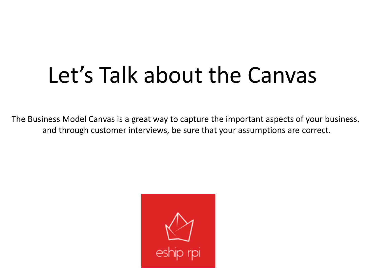## Let's Talk about the Canvas

The Business Model Canvas is a great way to capture the important aspects of your business, and through customer interviews, be sure that your assumptions are correct.

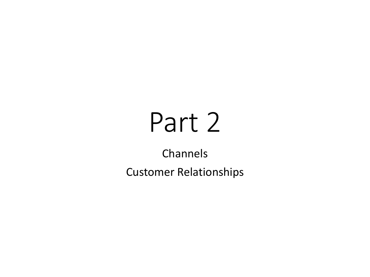# Part 2

Channels Customer Relationships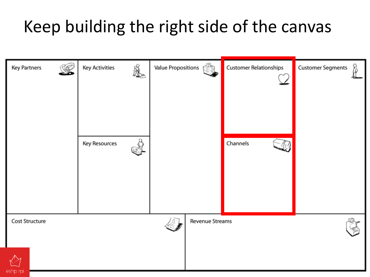### Keep building the right side of the canvas

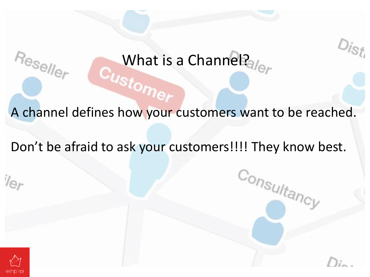# What is a Channel?

A channel defines how your customers want to be reached.

Don't be afraid to ask your customers!!!! They know best.

 $c_{o_{n_{S_{U/t_{a_{n_{c_{v}}}}}}}}$ 



 $V_{\Theta}$ 

 $Re_{\mathcal{S}\ominus N_{\mathcal{O}_{\Gamma}}}$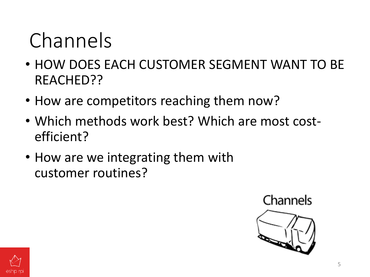## Channels

- HOW DOES EACH CUSTOMER SEGMENT WANT TO BE REACHED??
- How are competitors reaching them now?
- Which methods work best? Which are most costefficient?
- How are we integrating them with customer routines?



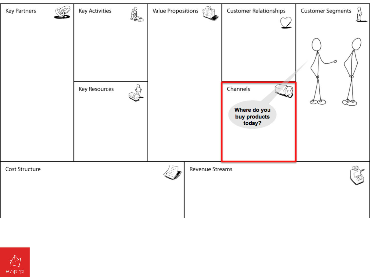

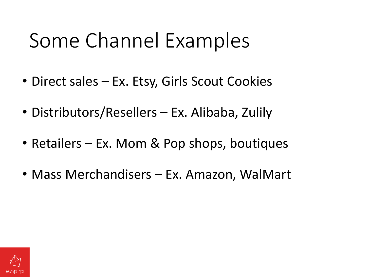## Some Channel Examples

- Direct sales Ex. Etsy, Girls Scout Cookies
- Distributors/Resellers Ex. Alibaba, Zulily
- Retailers Ex. Mom & Pop shops, boutiques
- Mass Merchandisers Ex. Amazon, WalMart

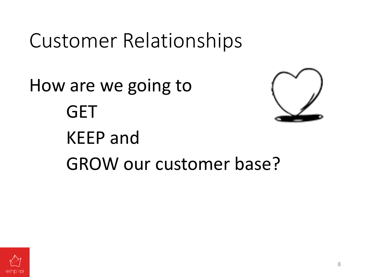## Customer Relationships

How are we going to **GET** KEEP and GROW our customer base?

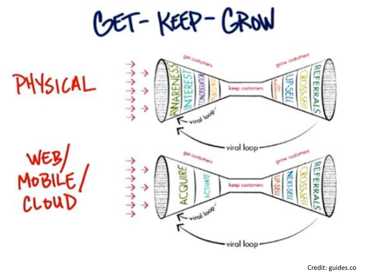COET-KEEP-CROW



Credit: guides.co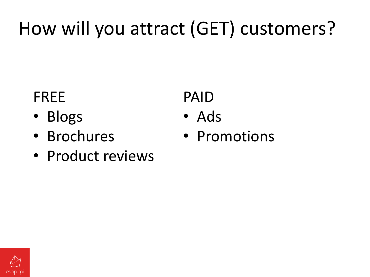## How will you attract (GET) customers?

#### FREE

- Blogs
- Brochures
- Product reviews

#### PAID

- Ads
- Promotions

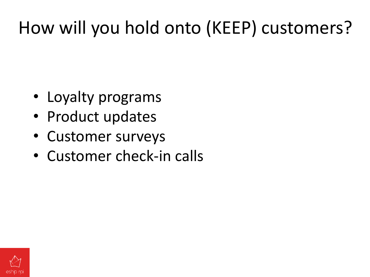## How will you hold onto (KEEP) customers?

- Loyalty programs
- Product updates
- Customer surveys
- Customer check-in calls

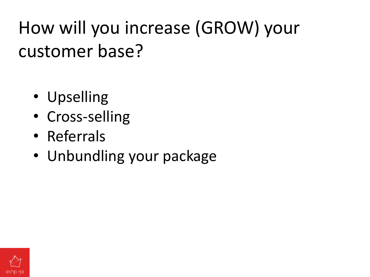How will you increase (GROW) your customer base?

- Upselling
- Cross-selling
- Referrals
- Unbundling your package

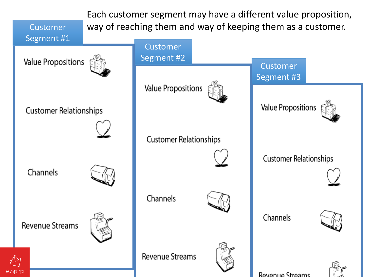Each customer segment may have a different value proposition, way of reaching them and way of keeping them as a customer.

Revenue Streams

Segment #1

Customer

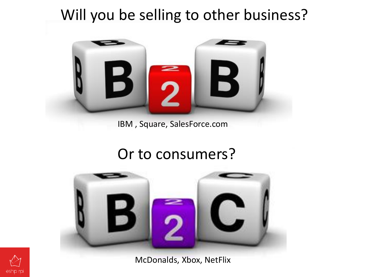#### Will you be selling to other business?



#### IBM , Square, SalesForce.com

#### Or to consumers?



McDonalds, Xbox, NetFlix